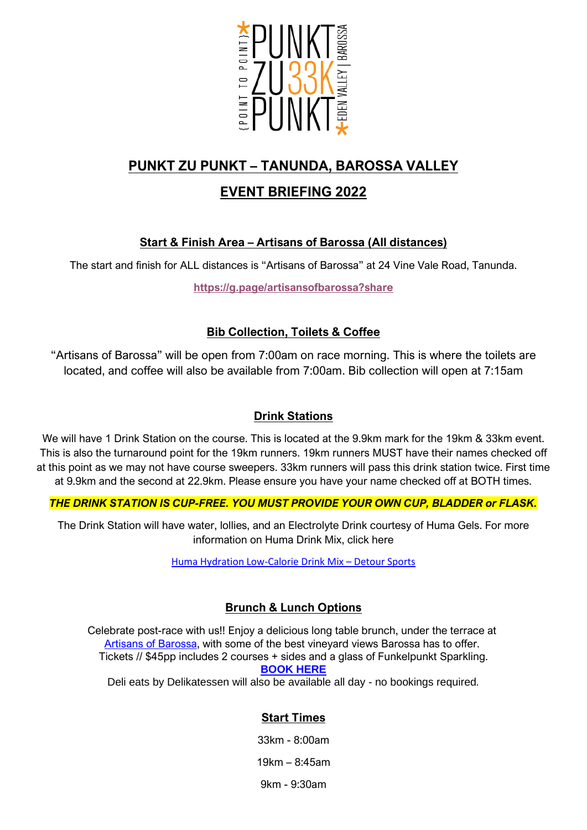

# **PUNKT ZU PUNKT – TANUNDA, BAROSSA VALLEY**

## **EVENT BRIEFING 2022**

## **Start & Finish Area – Artisans of Barossa (All distances)**

The start and finish for ALL distances is "Artisans of Barossa" at 24 Vine Vale Road, Tanunda.

**<https://g.page/artisansofbarossa?share>**

## **Bib Collection, Toilets & Coffee**

"Artisans of Barossa" will be open from 7:00am on race morning. This is where the toilets are located, and coffee will also be available from 7:00am. Bib collection will open at 7:15am

## **Drink Stations**

We will have 1 Drink Station on the course. This is located at the 9.9km mark for the 19km & 33km event. This is also the turnaround point for the 19km runners. 19km runners MUST have their names checked off at this point as we may not have course sweepers. 33km runners will pass this drink station twice. First time at 9.9km and the second at 22.9km. Please ensure you have your name checked off at BOTH times.

#### *THE DRINK STATION IS CUP-FREE. YOU MUST PROVIDE YOUR OWN CUP, BLADDER or FLASK.*

The Drink Station will have water, lollies, and an Electrolyte Drink courtesy of Huma Gels. For more information on Huma Drink Mix, click here

[Huma Hydration Low-Calorie Drink Mix](https://www.detoursports.com.au/collections/huma-gel/products/huma-hydration-low-calorie-drink-mix) – Detour Sports

## **Brunch & Lunch Options**

Celebrate post-race with us!! Enjoy a delicious long table brunch, under the terrace at Artisans of [Barossa,](https://www.artisansofbarossa.com/) with some of the best vineyard views Barossa has to offer. Tickets // \$45pp includes 2 courses + sides and a glass of Funkelpunkt Sparkling. **[BOOK](https://chaffeybroswine.com.au/products/punkt-zu-punkt-post-race-brunch) HERE**

Deli eats by Delikatessen will also be available all day - no bookings required*.*

## **Start Times**

33km - 8:00am 19km – 8:45am 9km - 9:30am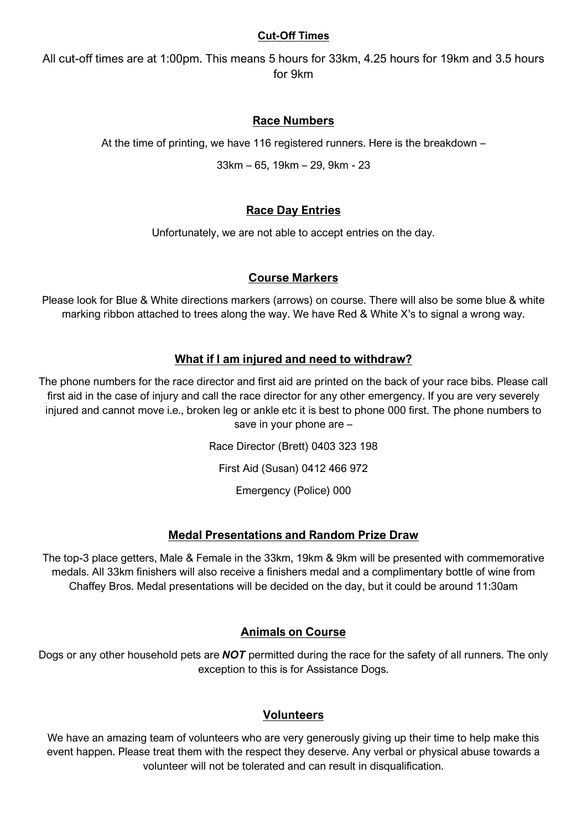#### **Cut-Off Times**

All cut-off times are at 1:00pm. This means 5 hours for 33km, 4.25 hours for 19km and 3.5 hours for 9km

#### **Race Numbers**

At the time of printing, we have 116 registered runners. Here is the breakdown –

33km – 65, 19km – 29, 9km - 23

#### **Race Day Entries**

Unfortunately, we are not able to accept entries on the day.

#### **Course Markers**

Please look for Blue & White directions markers (arrows) on course. There will also be some blue & white marking ribbon attached to trees along the way. We have Red & White X's to signal a wrong way.

## **What if I am injured and need to withdraw?**

The phone numbers for the race director and first aid are printed on the back of your race bibs. Please call first aid in the case of injury and call the race director for any other emergency. If you are very severely injured and cannot move i.e., broken leg or ankle etc it is best to phone 000 first. The phone numbers to save in your phone are –

Race Director (Brett) 0403 323 198

First Aid (Susan) 0412 466 972

Emergency (Police) 000

## **Medal Presentations and Random Prize Draw**

The top-3 place getters, Male & Female in the 33km, 19km & 9km will be presented with commemorative medals. All 33km finishers will also receive a finishers medal and a complimentary bottle of wine from Chaffey Bros. Medal presentations will be decided on the day, but it could be around 11:30am

## **Animals on Course**

Dogs or any other household pets are *NOT* permitted during the race for the safety of all runners. The only exception to this is for Assistance Dogs.

#### **Volunteers**

We have an amazing team of volunteers who are very generously giving up their time to help make this event happen. Please treat them with the respect they deserve. Any verbal or physical abuse towards a volunteer will not be tolerated and can result in disqualification.